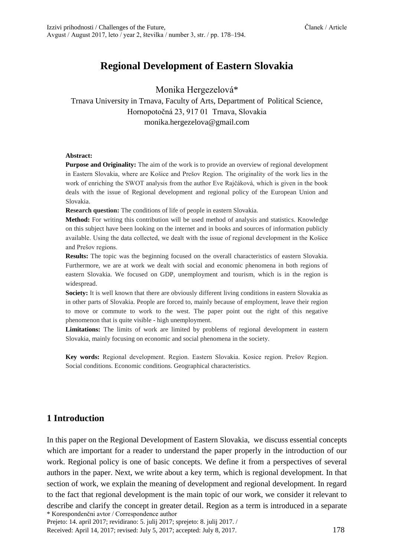# **Regional Development of Eastern Slovakia**

Monika Hergezelová\*

### Trnava University in Trnava, Faculty of Arts, Department of Political Science, Hornopotočná 23, 917 01 Trnava, Slovakia monika.hergezelova@gmail.com

#### **Abstract:**

**Purpose and Originality:** The aim of the work is to provide an overview of regional development in Eastern Slovakia, where are Košice and Prešov Region. The originality of the work lies in the work of enriching the SWOT analysis from the author Eve Rajčáková, which is given in the book deals with the issue of Regional development and regional policy of the European Union and Slovakia.

**Research question:** The conditions of life of people in eastern Slovakia.

**Method:** For writing this contribution will be used method of analysis and statistics. Knowledge on this subject have been looking on the internet and in books and sources of information publicly available. Using the data collected, we dealt with the issue of regional development in the Košice and Prešov regions.

**Results:** The topic was the beginning focused on the overall characteristics of eastern Slovakia. Furthermore, we are at work we dealt with social and economic phenomena in both regions of eastern Slovakia. We focused on GDP, unemployment and tourism, which is in the region is widespread.

**Society:** It is well known that there are obviously different living conditions in eastern Slovakia as in other parts of Slovakia. People are forced to, mainly because of employment, leave their region to move or commute to work to the west. The paper point out the right of this negative phenomenon that is quite visible - high unemployment.

**Limitations:** The limits of work are limited by problems of regional development in eastern Slovakia, mainly focusing on economic and social phenomena in the society.

**Key words:** Regional development. Region. Eastern Slovakia. Kosice region. Prešov Region. Social conditions. Economic conditions. Geographical characteristics.

#### **1 Introduction**

\* Korespondenčni avtor / Correspondence author In this paper on the Regional Development of Eastern Slovakia, we discuss essential concepts which are important for a reader to understand the paper properly in the introduction of our work. Regional policy is one of basic concepts. We define it from a perspectives of several authors in the paper. Next, we write about a key term, which is regional development. In that section of work, we explain the meaning of development and regional development. In regard to the fact that regional development is the main topic of our work, we consider it relevant to describe and clarify the concept in greater detail. Region as a term is introduced in a separate

Prejeto: 14. april 2017; revidirano: 5. julij 2017; sprejeto: 8. julij 2017. /

Received: April 14, 2017; revised: July 5, 2017; accepted: July 8, 2017. 178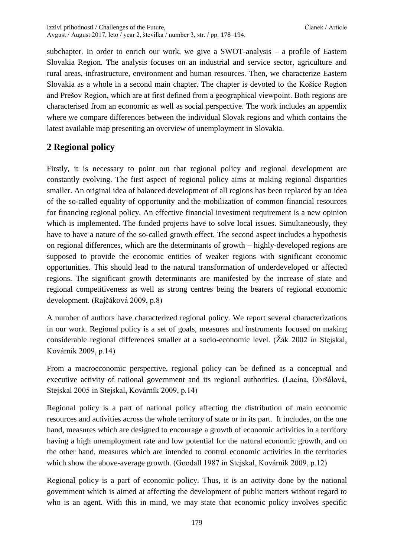subchapter. In order to enrich our work, we give a SWOT-analysis – a profile of Eastern Slovakia Region. The analysis focuses on an industrial and service sector, agriculture and rural areas, infrastructure, environment and human resources. Then, we characterize Eastern Slovakia as a whole in a second main chapter. The chapter is devoted to the Košice Region and Prešov Region, which are at first defined from a geographical viewpoint. Both regions are characterised from an economic as well as social perspective. The work includes an appendix where we compare differences between the individual Slovak regions and which contains the latest available map presenting an overview of unemployment in Slovakia.

### **2 Regional policy**

Firstly, it is necessary to point out that regional policy and regional development are constantly evolving. The first aspect of regional policy aims at making regional disparities smaller. An original idea of balanced development of all regions has been replaced by an idea of the so-called equality of opportunity and the mobilization of common financial resources for financing regional policy. An effective financial investment requirement is a new opinion which is implemented. The funded projects have to solve local issues. Simultaneously, they have to have a nature of the so-called growth effect. The second aspect includes a hypothesis on regional differences, which are the determinants of growth – highly-developed regions are supposed to provide the economic entities of weaker regions with significant economic opportunities. This should lead to the natural transformation of underdeveloped or affected regions. The significant growth determinants are manifested by the increase of state and regional competitiveness as well as strong centres being the bearers of regional economic development. (Rajčáková 2009, p.8)

A number of authors have characterized regional policy. We report several characterizations in our work. Regional policy is a set of goals, measures and instruments focused on making considerable regional differences smaller at a socio-economic level. (Žák 2002 in Stejskal, Kovárník 2009, p.14)

From a macroeconomic perspective, regional policy can be defined as a conceptual and executive activity of national government and its regional authorities. (Lacina, Obršálová, Stejskal 2005 in Stejskal, Kovárník 2009, p.14)

Regional policy is a part of national policy affecting the distribution of main economic resources and activities across the whole territory of state or in its part. It includes, on the one hand, measures which are designed to encourage a growth of economic activities in a territory having a high unemployment rate and low potential for the natural economic growth, and on the other hand, measures which are intended to control economic activities in the territories which show the above-average growth. (Goodall 1987 in Stejskal, Kovárník 2009, p.12)

Regional policy is a part of economic policy. Thus, it is an activity done by the national government which is aimed at affecting the development of public matters without regard to who is an agent. With this in mind, we may state that economic policy involves specific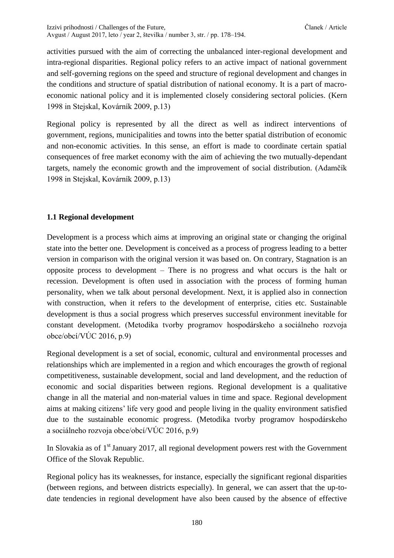activities pursued with the aim of correcting the unbalanced inter-regional development and intra-regional disparities. Regional policy refers to an active impact of national government and self-governing regions on the speed and structure of regional development and changes in the conditions and structure of spatial distribution of national economy. It is a part of macroeconomic national policy and it is implemented closely considering sectoral policies. (Kern 1998 in Stejskal, Kovárník 2009, p.13)

Regional policy is represented by all the direct as well as indirect interventions of government, regions, municipalities and towns into the better spatial distribution of economic and non-economic activities. In this sense, an effort is made to coordinate certain spatial consequences of free market economy with the aim of achieving the two mutually-dependant targets, namely the economic growth and the improvement of social distribution. (Adamčík 1998 in Stejskal, Kovárník 2009, p.13)

#### **1.1 Regional development**

Development is a process which aims at improving an original state or changing the original state into the better one. Development is conceived as a process of progress leading to a better version in comparison with the original version it was based on. On contrary, Stagnation is an opposite process to development – There is no progress and what occurs is the halt or recession. Development is often used in association with the process of forming human personality, when we talk about personal development. Next, it is applied also in connection with construction, when it refers to the development of enterprise, cities etc. Sustainable development is thus a social progress which preserves successful environment inevitable for constant development. (Metodika tvorby programov hospodárskeho a sociálneho rozvoja obce/obcí/VÚC 2016, p.9)

Regional development is a set of social, economic, cultural and environmental processes and relationships which are implemented in a region and which encourages the growth of regional competitiveness, sustainable development, social and land development, and the reduction of economic and social disparities between regions. Regional development is a qualitative change in all the material and non-material values in time and space. Regional development aims at making citizens' life very good and people living in the quality environment satisfied due to the sustainable economic progress. (Metodika tvorby programov hospodárskeho a sociálneho rozvoja obce/obcí/VÚC 2016, p.9)

In Slovakia as of  $1<sup>st</sup>$  January 2017, all regional development powers rest with the Government Office of the Slovak Republic.

Regional policy has its weaknesses, for instance, especially the significant regional disparities (between regions, and between districts especially). In general, we can assert that the up-todate tendencies in regional development have also been caused by the absence of effective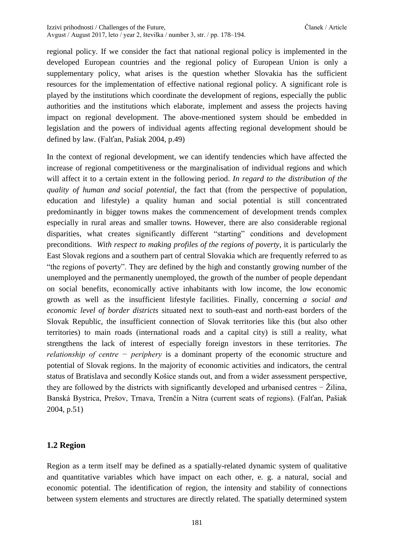regional policy. If we consider the fact that national regional policy is implemented in the developed European countries and the regional policy of European Union is only a supplementary policy, what arises is the question whether Slovakia has the sufficient resources for the implementation of effective national regional policy. A significant role is played by the institutions which coordinate the development of regions, especially the public authorities and the institutions which elaborate, implement and assess the projects having impact on regional development. The above-mentioned system should be embedded in legislation and the powers of individual agents affecting regional development should be defined by law. (Falťan, Pašiak 2004, p.49)

In the context of regional development, we can identify tendencies which have affected the increase of regional competitiveness or the marginalisation of individual regions and which will affect it to a certain extent in the following period. *In regard to the distribution of the quality of human and social potential*, the fact that (from the perspective of population, education and lifestyle) a quality human and social potential is still concentrated predominantly in bigger towns makes the commencement of development trends complex especially in rural areas and smaller towns. However, there are also considerable regional disparities, what creates significantly different "starting" conditions and development preconditions. *With respect to making profiles of the regions of poverty*, it is particularly the East Slovak regions and a southern part of central Slovakia which are frequently referred to as "the regions of poverty". They are defined by the high and constantly growing number of the unemployed and the permanently unemployed, the growth of the number of people dependant on social benefits, economically active inhabitants with low income, the low economic growth as well as the insufficient lifestyle facilities. Finally, concerning *a social and economic level of border districts* situated next to south-east and north-east borders of the Slovak Republic, the insufficient connection of Slovak territories like this (but also other territories) to main roads (international roads and a capital city) is still a reality, what strengthens the lack of interest of especially foreign investors in these territories. *The relationship of centre − periphery* is a dominant property of the economic structure and potential of Slovak regions. In the majority of economic activities and indicators, the central status of Bratislava and secondly Košice stands out, and from a wider assessment perspective, they are followed by the districts with significantly developed and urbanised centres − Žilina, Banská Bystrica, Prešov, Trnava, Trenčín a Nitra (current seats of regions). (Falťan, Pašiak 2004, p.51)

#### **1.2 Region**

Region as a term itself may be defined as a spatially-related dynamic system of qualitative and quantitative variables which have impact on each other, e. g. a natural, social and economic potential. The identification of region, the intensity and stability of connections between system elements and structures are directly related. The spatially determined system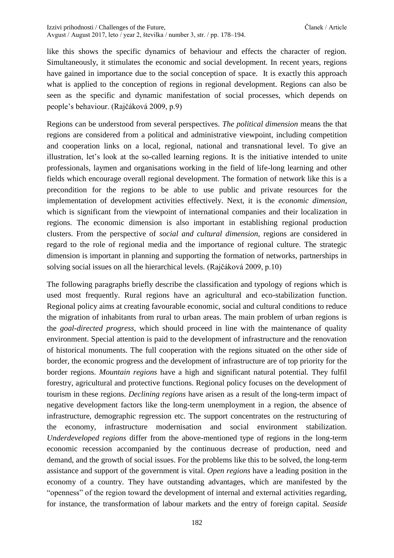like this shows the specific dynamics of behaviour and effects the character of region. Simultaneously, it stimulates the economic and social development. In recent years, regions have gained in importance due to the social conception of space. It is exactly this approach what is applied to the conception of regions in regional development. Regions can also be seen as the specific and dynamic manifestation of social processes, which depends on people's behaviour. (Rajčáková 2009, p.9)

Regions can be understood from several perspectives. *The political dimension* means the that regions are considered from a political and administrative viewpoint, including competition and cooperation links on a local, regional, national and transnational level. To give an illustration, let's look at the so-called learning regions. It is the initiative intended to unite professionals, laymen and organisations working in the field of life-long learning and other fields which encourage overall regional development. The formation of network like this is a precondition for the regions to be able to use public and private resources for the implementation of development activities effectively. Next, it is the *economic dimension*, which is significant from the viewpoint of international companies and their localization in regions. The economic dimension is also important in establishing regional production clusters. From the perspective of *social and cultural dimension*, regions are considered in regard to the role of regional media and the importance of regional culture. The strategic dimension is important in planning and supporting the formation of networks, partnerships in solving social issues on all the hierarchical levels. (Rajčáková 2009, p.10)

The following paragraphs briefly describe the classification and typology of regions which is used most frequently. Rural regions have an agricultural and eco-stabilization function. Regional policy aims at creating favourable economic, social and cultural conditions to reduce the migration of inhabitants from rural to urban areas. The main problem of urban regions is the *goal-directed progress*, which should proceed in line with the maintenance of quality environment. Special attention is paid to the development of infrastructure and the renovation of historical monuments. The full cooperation with the regions situated on the other side of border, the economic progress and the development of infrastructure are of top priority for the border regions. *Mountain regions* have a high and significant natural potential. They fulfil forestry, agricultural and protective functions. Regional policy focuses on the development of tourism in these regions. *Declining regions* have arisen as a result of the long-term impact of negative development factors like the long-term unemployment in a region, the absence of infrastructure, demographic regression etc. The support concentrates on the restructuring of the economy, infrastructure modernisation and social environment stabilization. *Underdeveloped regions* differ from the above-mentioned type of regions in the long-term economic recession accompanied by the continuous decrease of production, need and demand, and the growth of social issues. For the problems like this to be solved, the long-term assistance and support of the government is vital. *Open regions* have a leading position in the economy of a country. They have outstanding advantages, which are manifested by the "openness" of the region toward the development of internal and external activities regarding, for instance, the transformation of labour markets and the entry of foreign capital. *Seaside*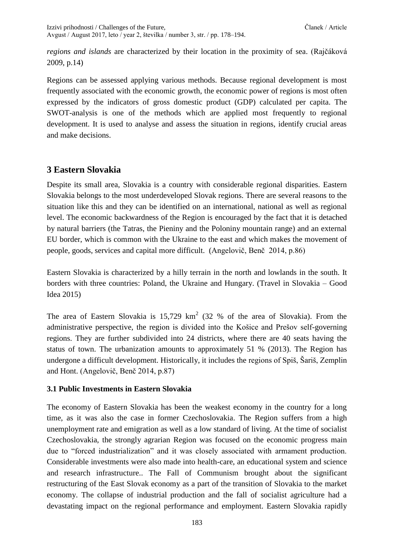*regions and islands* are characterized by their location in the proximity of sea. (Rajčáková 2009, p.14)

Regions can be assessed applying various methods. Because regional development is most frequently associated with the economic growth, the economic power of regions is most often expressed by the indicators of gross domestic product (GDP) calculated per capita. The SWOT-analysis is one of the methods which are applied most frequently to regional development. It is used to analyse and assess the situation in regions, identify crucial areas and make decisions.

### **3 Eastern Slovakia**

Despite its small area, Slovakia is a country with considerable regional disparities. Eastern Slovakia belongs to the most underdeveloped Slovak regions. There are several reasons to the situation like this and they can be identified on an international, national as well as regional level. The economic backwardness of the Region is encouraged by the fact that it is detached by natural barriers (the Tatras, the Pieniny and the Poloniny mountain range) and an external EU border, which is common with the Ukraine to the east and which makes the movement of people, goods, services and capital more difficult. [\(Angelovič,](https://is.muni.cz/do/econ/soubory/katedry/kres/4884317/48596005/009_2014.pdf) Benč 2014, p.86)

Eastern Slovakia is characterized by a hilly terrain in the north and lowlands in the south. It borders with three countries: Poland, the Ukraine and Hungary. (Travel in Slovakia – Good Idea 2015)

The area of Eastern Slovakia is  $15,729$  km<sup>2</sup> (32 % of the area of Slovakia). From the administrative perspective, the region is divided into the Košice and Prešov self-governing regions. They are further subdivided into 24 districts, where there are 40 seats having the status of town. The urbanization amounts to approximately 51 % (2013). The Region has undergone a difficult development. Historically, it includes the regions of Spiš, Šariš, Zemplin and Hont. (Angelovič, Benč 2014, p.87)

#### **3.1 Public Investments in Eastern Slovakia**

The economy of Eastern Slovakia has been the weakest economy in the country for a long time, as it was also the case in former Czechoslovakia. The Region suffers from a high unemployment rate and emigration as well as a low standard of living. At the time of socialist Czechoslovakia, the strongly agrarian Region was focused on the economic progress main due to "forced industrialization" and it was closely associated with armament production. Considerable investments were also made into health-care, an educational system and science and research infrastructure.. The Fall of Communism brought about the significant restructuring of the East Slovak economy as a part of the transition of Slovakia to the market economy. The collapse of industrial production and the fall of socialist agriculture had a devastating impact on the regional performance and employment. Eastern Slovakia rapidly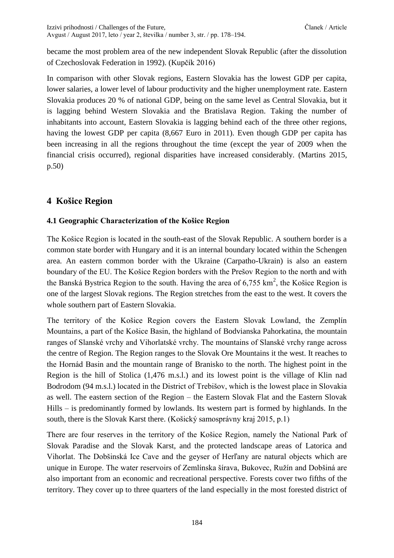became the most problem area of the new independent Slovak Republic (after the dissolution of Czechoslovak Federation in 1992). (Kupčík 2016)

In comparison with other Slovak regions, Eastern Slovakia has the lowest GDP per capita, lower salaries, a lower level of labour productivity and the higher unemployment rate. Eastern Slovakia produces 20 % of national GDP, being on the same level as Central Slovakia, but it is lagging behind Western Slovakia and the Bratislava Region. Taking the number of inhabitants into account, Eastern Slovakia is lagging behind each of the three other regions, having the lowest GDP per capita (8,667 Euro in 2011). Even though GDP per capita has been increasing in all the regions throughout the time (except the year of 2009 when the financial crisis occurred), regional disparities have increased considerably. (Martins 2015, p.50)

## **4 Košice Region**

### **4.1 Geographic Characterization of the Košice Region**

The Košice Region is located in the south-east of the Slovak Republic. A southern border is a common state border with Hungary and it is an internal boundary located within the Schengen area. An eastern common border with the Ukraine (Carpatho-Ukrain) is also an eastern boundary of the EU. The Košice Region borders with the Prešov Region to the north and with the Banská Bystrica Region to the south. Having the area of  $6,755 \text{ km}^2$ , the Košice Region is one of the largest Slovak regions. The Region stretches from the east to the west. It covers the whole southern part of Eastern Slovakia.

The territory of the Košice Region covers the Eastern Slovak Lowland, the Zemplín Mountains, a part of the Košice Basin, the highland of Bodvianska Pahorkatina, the mountain ranges of Slanské vrchy and Vihorlatské vrchy. The mountains of Slanské vrchy range across the centre of Region. The Region ranges to the Slovak Ore Mountains it the west. It reaches to the Hornád Basin and the mountain range of Branisko to the north. The highest point in the Region is the hill of Stolica (1,476 m.s.l.) and its lowest point is the village of Klin nad Bodrodom (94 m.s.l.) located in the District of Trebišov, which is the lowest place in Slovakia as well. The eastern section of the Region – the Eastern Slovak Flat and the Eastern Slovak Hills – is predominantly formed by lowlands. Its western part is formed by highlands. In the south, there is the Slovak Karst there. (Košický samosprávny kraj 2015, p.1)

There are four reserves in the territory of the Košice Region, namely the National Park of Slovak Paradise and the Slovak Karst, and the protected landscape areas of Latorica and Vihorlat. The Dobšinská Ice Cave and the geyser of Herľany are natural objects which are unique in Europe. The water reservoirs of Zemlínska šírava, Bukovec, Ružín and Dobšiná are also important from an economic and recreational perspective. Forests cover two fifths of the territory. They cover up to three quarters of the land especially in the most forested district of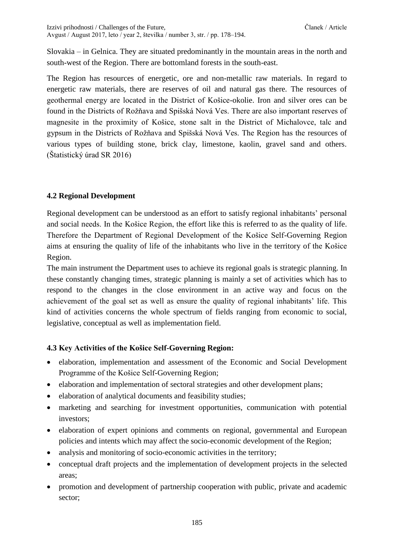Slovakia – in Gelnica. They are situated predominantly in the mountain areas in the north and south-west of the Region. There are bottomland forests in the south-east.

The Region has resources of energetic, ore and non-metallic raw materials. In regard to energetic raw materials, there are reserves of oil and natural gas there. The resources of geothermal energy are located in the District of Košice-okolie. Iron and silver ores can be found in the Districts of Rožňava and Spišská Nová Ves. There are also important reserves of magnesite in the proximity of Košice, stone salt in the District of Michalovce, talc and gypsum in the Districts of Rožňava and Spišská Nová Ves. The Region has the resources of various types of building stone, brick clay, limestone, kaolin, gravel sand and others. (Štatistický úrad SR 2016)

### **4.2 Regional Development**

Regional development can be understood as an effort to satisfy regional inhabitants' personal and social needs. In the Košice Region, the effort like this is referred to as the quality of life. Therefore the Department of Regional Development of the Košice Self-Governing Region aims at ensuring the quality of life of the inhabitants who live in the territory of the Košice Region.

The main instrument the Department uses to achieve its regional goals is strategic planning. In these constantly changing times, strategic planning is mainly a set of activities which has to respond to the changes in the close environment in an active way and focus on the achievement of the goal set as well as ensure the quality of regional inhabitants' life. This kind of activities concerns the whole spectrum of fields ranging from economic to social, legislative, conceptual as well as implementation field.

#### **4.3 Key Activities of the Košice Self-Governing Region:**

- elaboration, implementation and assessment of the Economic and Social Development Programme of the Košice Self-Governing Region;
- elaboration and implementation of sectoral strategies and other development plans;
- elaboration of analytical documents and feasibility studies;
- marketing and searching for investment opportunities, communication with potential investors;
- elaboration of expert opinions and comments on regional, governmental and European policies and intents which may affect the socio-economic development of the Region;
- analysis and monitoring of socio-economic activities in the territory;
- conceptual draft projects and the implementation of development projects in the selected areas;
- promotion and development of partnership cooperation with public, private and academic sector;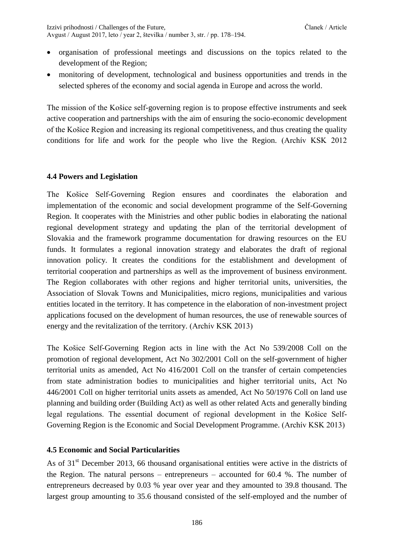- organisation of professional meetings and discussions on the topics related to the development of the Region;
- monitoring of development, technological and business opportunities and trends in the selected spheres of the economy and social agenda in Europe and across the world.

The mission of the Košice self-governing region is to propose effective instruments and seek active cooperation and partnerships with the aim of ensuring the socio-economic development of the Košice Region and increasing its regional competitiveness, and thus creating the quality conditions for life and work for the people who live the Region. (Archív KSK 2012

#### **4.4 Powers and Legislation**

The Košice Self-Governing Region ensures and coordinates the elaboration and implementation of the economic and social development programme of the Self-Governing Region. It cooperates with the Ministries and other public bodies in elaborating the national regional development strategy and updating the plan of the territorial development of Slovakia and the framework programme documentation for drawing resources on the EU funds. It formulates a regional innovation strategy and elaborates the draft of regional innovation policy. It creates the conditions for the establishment and development of territorial cooperation and partnerships as well as the improvement of business environment. The Region collaborates with other regions and higher territorial units, universities, the Association of Slovak Towns and Municipalities, micro regions, municipalities and various entities located in the territory. It has competence in the elaboration of non-investment project applications focused on the development of human resources, the use of renewable sources of energy and the revitalization of the territory. (Archív KSK 2013)

The Košice Self-Governing Region acts in line with the Act No 539/2008 Coll on the promotion of regional development, Act No 302/2001 Coll on the self-government of higher territorial units as amended, Act No 416/2001 Coll on the transfer of certain competencies from state administration bodies to municipalities and higher territorial units, Act No 446/2001 Coll on higher territorial units assets as amended, Act No 50/1976 Coll on land use planning and building order (Building Act) as well as other related Acts and generally binding legal regulations. The essential document of regional development in the Košice Self-Governing Region is [the Economic and Social Development Programme.](https://web.vucke.sk/sk/uradna-tabula/phsr/) (Archív KSK 2013)

#### **4.5 Economic and Social Particularities**

As of  $31<sup>st</sup>$  December 2013, 66 thousand organisational entities were active in the districts of the Region. The natural persons – entrepreneurs – accounted for 60.4 %. The number of entrepreneurs decreased by 0.03 % year over year and they amounted to 39.8 thousand. The largest group amounting to 35.6 thousand consisted of the self-employed and the number of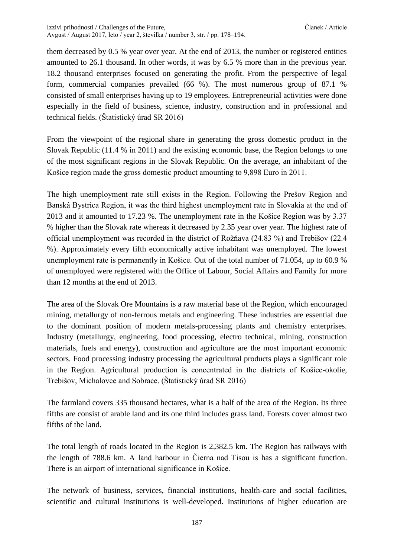them decreased by 0.5 % year over year. At the end of 2013, the number or registered entities amounted to 26.1 thousand. In other words, it was by 6.5 % more than in the previous year. 18.2 thousand enterprises focused on generating the profit. From the perspective of legal form, commercial companies prevailed (66 %). The most numerous group of 87.1 % consisted of small enterprises having up to 19 employees. Entrepreneurial activities were done especially in the field of business, science, industry, construction and in professional and technical fields. (Štatistický úrad SR 2016)

From the viewpoint of the regional share in generating the gross domestic product in the Slovak Republic (11.4 % in 2011) and the existing economic base, the Region belongs to one of the most significant regions in the Slovak Republic. On the average, an inhabitant of the Košice region made the gross domestic product amounting to 9,898 Euro in 2011.

The high unemployment rate still exists in the Region. Following the Prešov Region and Banská Bystrica Region, it was the third highest unemployment rate in Slovakia at the end of 2013 and it amounted to 17.23 %. The unemployment rate in the Košice Region was by 3.37 % higher than the Slovak rate whereas it decreased by 2.35 year over year. The highest rate of official unemployment was recorded in the district of Rožňava (24.83 %) and Trebišov (22.4 %). Approximately every fifth economically active inhabitant was unemployed. The lowest unemployment rate is permanently in Košice. Out of the total number of 71.054, up to 60.9 % of unemployed were registered with the Office of Labour, Social Affairs and Family for more than 12 months at the end of 2013.

The area of the Slovak Ore Mountains is a raw material base of the Region, which encouraged mining, metallurgy of non-ferrous metals and engineering. These industries are essential due to the dominant position of modern metals-processing plants and chemistry enterprises. Industry (metallurgy, engineering, food processing, electro technical, mining, construction materials, fuels and energy), construction and agriculture are the most important economic sectors. Food processing industry processing the agricultural products plays a significant role in the Region. Agricultural production is concentrated in the districts of Košice-okolie, Trebišov, Michalovce and Sobrace. (Štatistický úrad SR 2016)

The farmland covers 335 thousand hectares, what is a half of the area of the Region. Its three fifths are consist of arable land and its one third includes grass land. Forests cover almost two fifths of the land.

The total length of roads located in the Region is 2,382.5 km. The Region has railways with the length of 788.6 km. A land harbour in Čierna nad Tisou is has a significant function. There is an airport of international significance in Košice.

The network of business, services, financial institutions, health-care and social facilities, scientific and cultural institutions is well-developed. Institutions of higher education are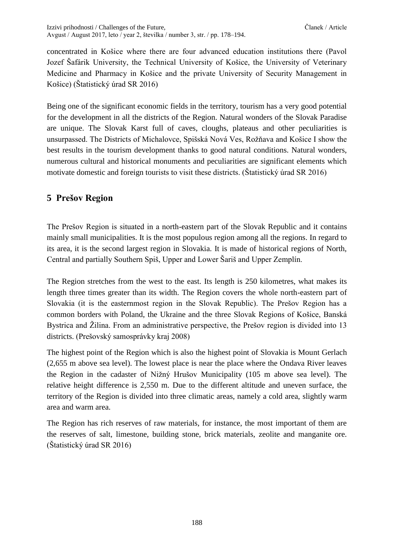concentrated in Košice where there are four advanced education institutions there (Pavol Jozef Šafárik University, the Technical University of Košice, the University of Veterinary Medicine and Pharmacy in Košice and the private University of Security Management in Košice) (Štatistický úrad SR 2016)

Being one of the significant economic fields in the territory, tourism has a very good potential for the development in all the districts of the Region. Natural wonders of the Slovak Paradise are unique. The Slovak Karst full of caves, cloughs, plateaus and other peculiarities is unsurpassed. The Districts of Michalovce, Spišská Nová Ves, Rožňava and Košice I show the best results in the tourism development thanks to good natural conditions. Natural wonders, numerous cultural and historical monuments and peculiarities are significant elements which motivate domestic and foreign tourists to visit these districts. (Štatistický úrad SR 2016)

### **5 Prešov Region**

The Prešov Region is situated in a north-eastern part of the Slovak Republic and it contains mainly small municipalities. It is the most populous region among all the regions. In regard to its area, it is the second largest region in Slovakia. It is made of historical regions of North, Central and partially Southern Spiš, Upper and Lower Šariš and Upper Zemplín.

The Region stretches from the west to the east. Its length is 250 kilometres, what makes its length three times greater than its width. The Region covers the whole north-eastern part of Slovakia (it is the easternmost region in the Slovak Republic). The Prešov Region has a common borders with Poland, the Ukraine and the three Slovak Regions of Košice, Banská Bystrica and Žilina. From an administrative perspective, the Prešov region is divided into 13 districts. (Prešovský samosprávky kraj 2008)

The highest point of the Region which is also the highest point of Slovakia is Mount Gerlach (2,655 m above sea level). The lowest place is near the place where the Ondava River leaves the Region in the cadaster of Nižný Hrušov Municipality (105 m above sea level). The relative height difference is 2,550 m. Due to the different altitude and uneven surface, the territory of the Region is divided into three climatic areas, namely a cold area, slightly warm area and warm area.

The Region has rich reserves of raw materials, for instance, the most important of them are the reserves of salt, limestone, building stone, brick materials, zeolite and manganite ore. (Štatistický úrad SR 2016)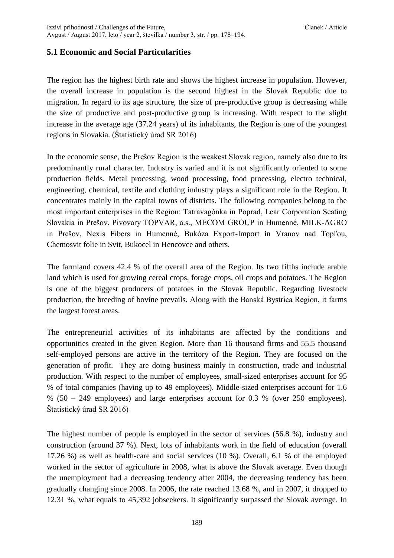### **5.1 Economic and Social Particularities**

The region has the highest birth rate and shows the highest increase in population. However, the overall increase in population is the second highest in the Slovak Republic due to migration. In regard to its age structure, the size of pre-productive group is decreasing while the size of productive and post-productive group is increasing. With respect to the slight increase in the average age (37.24 years) of its inhabitants, the Region is one of the youngest regions in Slovakia. (Štatistický úrad SR 2016)

In the economic sense, the Prešov Region is the weakest Slovak region, namely also due to its predominantly rural character. Industry is varied and it is not significantly oriented to some production fields. Metal processing, wood processing, food processing, electro technical, engineering, chemical, textile and clothing industry plays a significant role in the Region. It concentrates mainly in the capital towns of districts. The following companies belong to the most important enterprises in the Region: Tatravagónka in Poprad, Lear Corporation Seating Slovakia in Prešov, Pivovary TOPVAR, a.s., MECOM GROUP in Humenné, MILK-AGRO in Prešov, Nexis Fibers in Humenné, Bukóza Export-Import in Vranov nad Topľou, Chemosvit folie in Svit, Bukocel in Hencovce and others.

The farmland covers 42.4 % of the overall area of the Region. Its two fifths include arable land which is used for growing cereal crops, forage crops, oil crops and potatoes. The Region is one of the biggest producers of potatoes in the Slovak Republic. Regarding livestock production, the breeding of bovine prevails. Along with the Banská Bystrica Region, it farms the largest forest areas.

The entrepreneurial activities of its inhabitants are affected by the conditions and opportunities created in the given Region. More than 16 thousand firms and 55.5 thousand self-employed persons are active in the territory of the Region. They are focused on the generation of profit. They are doing business mainly in construction, trade and industrial production. With respect to the number of employees, small-sized enterprises account for 95 % of total companies (having up to 49 employees). Middle-sized enterprises account for 1.6 % (50 – 249 employees) and large enterprises account for 0.3 % (over 250 employees). Štatistický úrad SR 2016)

The highest number of people is employed in the sector of services (56.8 %), industry and construction (around 37 %). Next, lots of inhabitants work in the field of education (overall 17.26 %) as well as health-care and social services (10 %). Overall, 6.1 % of the employed worked in the sector of agriculture in 2008, what is above the Slovak average. Even though the unemployment had a decreasing tendency after 2004, the decreasing tendency has been gradually changing since 2008. In 2006, the rate reached 13.68 %, and in 2007, it dropped to 12.31 %, what equals to 45,392 jobseekers. It significantly surpassed the Slovak average. In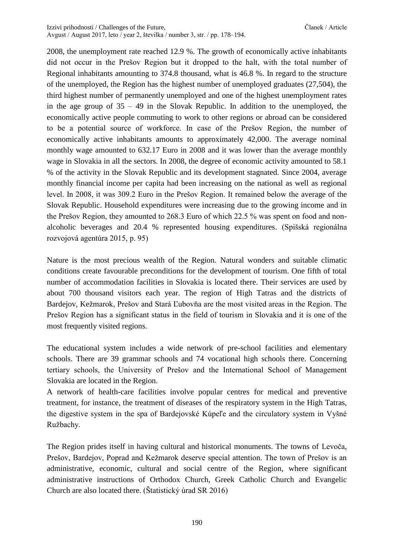2008, the unemployment rate reached 12.9 %. The growth of economically active inhabitants did not occur in the Prešov Region but it dropped to the halt, with the total number of Regional inhabitants amounting to 374.8 thousand, what is 46.8 %. In regard to the structure of the unemployed, the Region has the highest number of unemployed graduates (27,504), the third highest number of permanently unemployed and one of the highest unemployment rates in the age group of  $35 - 49$  in the Slovak Republic. In addition to the unemployed, the economically active people commuting to work to other regions or abroad can be considered to be a potential source of workforce. In case of the Prešov Region, the number of economically active inhabitants amounts to approximately 42,000. The average nominal monthly wage amounted to 632.17 Euro in 2008 and it was lower than the average monthly wage in Slovakia in all the sectors. In 2008, the degree of economic activity amounted to 58.1 % of the activity in the Slovak Republic and its development stagnated. Since 2004, average monthly financial income per capita had been increasing on the national as well as regional level. In 2008, it was 309.2 Euro in the Prešov Region. It remained below the average of the Slovak Republic. Household expenditures were increasing due to the growing income and in the Prešov Region, they amounted to 268.3 Euro of which 22.5 % was spent on food and nonalcoholic beverages and 20.4 % represented housing expenditures. (Spišská regionálna rozvojová agentúra 2015, p. 95)

Nature is the most precious wealth of the Region. Natural wonders and suitable climatic conditions create favourable preconditions for the development of tourism. One fifth of total number of accommodation facilities in Slovakia is located there. Their services are used by about 700 thousand visitors each year. The region of High Tatras and the districts of Bardejov, Kežmarok, Prešov and Stará Ľubovňa are the most visited areas in the Region. The Prešov Region has a significant status in the field of tourism in Slovakia and it is one of the most frequently visited regions.

The educational system includes a wide network of pre-school facilities and elementary schools. There are 39 grammar schools and 74 vocational high schools there. Concerning tertiary schools, the University of Prešov and the International School of Management Slovakia are located in the Region.

A network of health-care facilities involve popular centres for medical and preventive treatment, for instance, the treatment of diseases of the respiratory system in the High Tatras, the digestive system in the spa of Bardejovské Kúpeľe and the circulatory system in Vyšné Ružbachy.

The Region prides itself in having cultural and historical monuments. The towns of Levoča, Prešov, Bardejov, Poprad and Kežmarok deserve special attention. The town of Prešov is an administrative, economic, cultural and social centre of the Region, where significant administrative instructions of Orthodox Church, Greek Catholic Church and Evangelic Church are also located there. (Štatistický úrad SR 2016)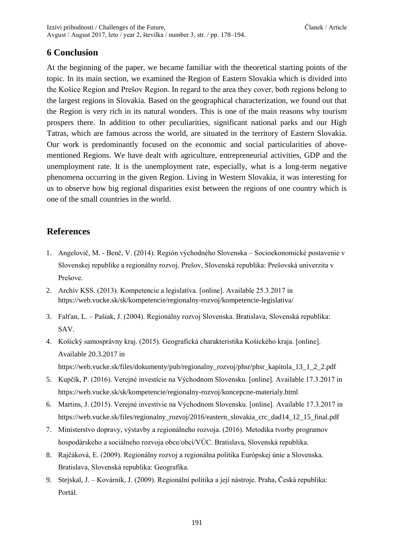### **6 Conclusion**

At the beginning of the paper, we became familiar with the theoretical starting points of the topic. In its main section, we examined the Region of Eastern Slovakia which is divided into the Košice Region and Prešov Region. In regard to the area they cover, both regions belong to the largest regions in Slovakia. Based on the geographical characterization, we found out that the Region is very rich in its natural wonders. This is one of the main reasons why tourism prospers there. In addition to other peculiarities, significant national parks and our High Tatras, which are famous across the world, are situated in the territory of Eastern Slovakia. Our work is predominantly focused on the economic and social particularities of abovementioned Regions. We have dealt with agriculture, entrepreneurial activities, GDP and the unemployment rate. It is the unemployment rate, especially, what is a long-term negative phenomena occurring in the given Region. Living in Western Slovakia, it was interesting for us to observe how big regional disparities exist between the regions of one country which is one of the small countries in the world.

### **References**

- 1. Angelovič, M. Benč, V. (2014). Región východného Slovenska Socioekonomické postavenie v Slovenskej republike a regionálny rozvoj. Prešov, Slovenská republika: Prešovská univerzita v Prešove.
- 2. Archív KSS. (2013). Kompetencie a legislatíva. [online]. Available 25.3.2017 in https://web.vucke.sk/sk/kompetencie/regionalny-rozvoj/kompetencie-legislativa/
- 3. Falťan, L. Pašiak, J. (2004). Regionálny rozvoj Slovenska. Bratislava, Slovenská republika: SAV.
- 4. Košický samosprávny kraj. (2015). Geografická charakteristika Košického kraja. [online]. Available 20.3.2017 in https://web.vucke.sk/files/dokumenty/pub/regionalny\_rozvoj/phsr/phsr\_kapitola\_13\_1\_2\_2.pdf
- 5. Kupčík, P. (2016). Verejné investície na Východnom Slovensku. [online]. Available 17.3.2017 in https://web.vucke.sk/sk/kompetencie/regionalny-rozvoj/koncepcne-materialy.html
- 6. Martins, J. (2015). Verejné investívie na Východnom Slovensku. [online]. Available 17.3.2017 in https://web.vucke.sk/files/regionalny\_rozvoj/2016/eastern\_slovakia\_crc\_dad14\_12\_15\_final.pdf
- 7. Ministerstvo dopravy, výstavby a regionálneho rozvoja. (2016). Metodika tvorby programov hospodárskeho a sociálneho rozvoja obce/obcí/VÚC. Bratislava, Slovenská republika.
- 8. Rajčáková, E. (2009). Regionálny rozvoj a regionálna politika Európskej únie a Slovenska. Bratislava, Slovenská republika: Geografika.
- 9. Stejskal, J. Kovárník, J. (2009). Regionální politika a její nástroje. Praha, Česká republika: Portál.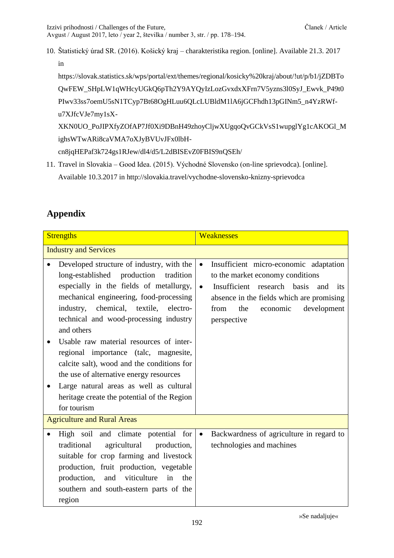10. Štatistický úrad SR. (2016). Košický kraj – charakteristika region. [online]. Available 21.3. 2017 in

[https://slovak.statistics.sk/wps/portal/ext/themes/regional/kosicky%20kraj/about/!ut/p/b1/jZDBTo](https://slovak.statistics.sk/wps/portal/ext/themes/regional/kosicky%20kraj/about/!ut/p/b1/jZDBToQwFEW_SHpLW1qWHcyUGkQ6pTh2Y9AYQyIzLozGvxdxXFrn7V5yzns3l0SyJ_Ewvk_P49t0PIwv33ss7oemU5sN1TCyp7Bt68OgHLuu6QLcLUBldM1lA6jGCFhdh13pGINm5_n4YzRWf-u7XJfcVJe7my1sX-XKN0UO_PoJIPXfyZOfAP7Jf0Xi9DBnH49zhoyCljwXUgqoQvGCkVsS1wupglYg1cAKOGl_MighsWTwARi8caVMA7oXJyBVUvJFx0lbH-cn8jqHEPaf3k724gs1RJew/dl4/d5/L2dBISEvZ0FBIS9nQSEh/) [QwFEW\\_SHpLW1qWHcyUGkQ6pTh2Y9AYQyIzLozGvxdxXFrn7V5yzns3l0SyJ\\_Ewvk\\_P49t0](https://slovak.statistics.sk/wps/portal/ext/themes/regional/kosicky%20kraj/about/!ut/p/b1/jZDBToQwFEW_SHpLW1qWHcyUGkQ6pTh2Y9AYQyIzLozGvxdxXFrn7V5yzns3l0SyJ_Ewvk_P49t0PIwv33ss7oemU5sN1TCyp7Bt68OgHLuu6QLcLUBldM1lA6jGCFhdh13pGINm5_n4YzRWf-u7XJfcVJe7my1sX-XKN0UO_PoJIPXfyZOfAP7Jf0Xi9DBnH49zhoyCljwXUgqoQvGCkVsS1wupglYg1cAKOGl_MighsWTwARi8caVMA7oXJyBVUvJFx0lbH-cn8jqHEPaf3k724gs1RJew/dl4/d5/L2dBISEvZ0FBIS9nQSEh/) [PIwv33ss7oemU5sN1TCyp7Bt68OgHLuu6QLcLUBldM1lA6jGCFhdh13pGINm5\\_n4YzRWf](https://slovak.statistics.sk/wps/portal/ext/themes/regional/kosicky%20kraj/about/!ut/p/b1/jZDBToQwFEW_SHpLW1qWHcyUGkQ6pTh2Y9AYQyIzLozGvxdxXFrn7V5yzns3l0SyJ_Ewvk_P49t0PIwv33ss7oemU5sN1TCyp7Bt68OgHLuu6QLcLUBldM1lA6jGCFhdh13pGINm5_n4YzRWf-u7XJfcVJe7my1sX-XKN0UO_PoJIPXfyZOfAP7Jf0Xi9DBnH49zhoyCljwXUgqoQvGCkVsS1wupglYg1cAKOGl_MighsWTwARi8caVMA7oXJyBVUvJFx0lbH-cn8jqHEPaf3k724gs1RJew/dl4/d5/L2dBISEvZ0FBIS9nQSEh/)[u7XJfcVJe7my1sX-](https://slovak.statistics.sk/wps/portal/ext/themes/regional/kosicky%20kraj/about/!ut/p/b1/jZDBToQwFEW_SHpLW1qWHcyUGkQ6pTh2Y9AYQyIzLozGvxdxXFrn7V5yzns3l0SyJ_Ewvk_P49t0PIwv33ss7oemU5sN1TCyp7Bt68OgHLuu6QLcLUBldM1lA6jGCFhdh13pGINm5_n4YzRWf-u7XJfcVJe7my1sX-XKN0UO_PoJIPXfyZOfAP7Jf0Xi9DBnH49zhoyCljwXUgqoQvGCkVsS1wupglYg1cAKOGl_MighsWTwARi8caVMA7oXJyBVUvJFx0lbH-cn8jqHEPaf3k724gs1RJew/dl4/d5/L2dBISEvZ0FBIS9nQSEh/)

[XKN0UO\\_PoJIPXfyZOfAP7Jf0Xi9DBnH49zhoyCljwXUgqoQvGCkVsS1wupglYg1cAKOGl\\_M](https://slovak.statistics.sk/wps/portal/ext/themes/regional/kosicky%20kraj/about/!ut/p/b1/jZDBToQwFEW_SHpLW1qWHcyUGkQ6pTh2Y9AYQyIzLozGvxdxXFrn7V5yzns3l0SyJ_Ewvk_P49t0PIwv33ss7oemU5sN1TCyp7Bt68OgHLuu6QLcLUBldM1lA6jGCFhdh13pGINm5_n4YzRWf-u7XJfcVJe7my1sX-XKN0UO_PoJIPXfyZOfAP7Jf0Xi9DBnH49zhoyCljwXUgqoQvGCkVsS1wupglYg1cAKOGl_MighsWTwARi8caVMA7oXJyBVUvJFx0lbH-cn8jqHEPaf3k724gs1RJew/dl4/d5/L2dBISEvZ0FBIS9nQSEh/) [ighsWTwARi8caVMA7oXJyBVUvJFx0lbH-](https://slovak.statistics.sk/wps/portal/ext/themes/regional/kosicky%20kraj/about/!ut/p/b1/jZDBToQwFEW_SHpLW1qWHcyUGkQ6pTh2Y9AYQyIzLozGvxdxXFrn7V5yzns3l0SyJ_Ewvk_P49t0PIwv33ss7oemU5sN1TCyp7Bt68OgHLuu6QLcLUBldM1lA6jGCFhdh13pGINm5_n4YzRWf-u7XJfcVJe7my1sX-XKN0UO_PoJIPXfyZOfAP7Jf0Xi9DBnH49zhoyCljwXUgqoQvGCkVsS1wupglYg1cAKOGl_MighsWTwARi8caVMA7oXJyBVUvJFx0lbH-cn8jqHEPaf3k724gs1RJew/dl4/d5/L2dBISEvZ0FBIS9nQSEh/)

[cn8jqHEPaf3k724gs1RJew/dl4/d5/L2dBISEvZ0FBIS9nQSEh/](https://slovak.statistics.sk/wps/portal/ext/themes/regional/kosicky%20kraj/about/!ut/p/b1/jZDBToQwFEW_SHpLW1qWHcyUGkQ6pTh2Y9AYQyIzLozGvxdxXFrn7V5yzns3l0SyJ_Ewvk_P49t0PIwv33ss7oemU5sN1TCyp7Bt68OgHLuu6QLcLUBldM1lA6jGCFhdh13pGINm5_n4YzRWf-u7XJfcVJe7my1sX-XKN0UO_PoJIPXfyZOfAP7Jf0Xi9DBnH49zhoyCljwXUgqoQvGCkVsS1wupglYg1cAKOGl_MighsWTwARi8caVMA7oXJyBVUvJFx0lbH-cn8jqHEPaf3k724gs1RJew/dl4/d5/L2dBISEvZ0FBIS9nQSEh/)

11. Travel in Slovakia – Good Idea. (2015). Východné Slovensko (on-line sprievodca). [online]. Available 10.3.2017 in<http://slovakia.travel/vychodne-slovensko-knizny-sprievodca>

# **Appendix**

| <b>Strengths</b>                                                                                                                                                                                                                                                                                                                                                                                                                                                                                                                                                         | <b>Weaknesses</b>                                                                                                                                                                                                                                       |  |  |
|--------------------------------------------------------------------------------------------------------------------------------------------------------------------------------------------------------------------------------------------------------------------------------------------------------------------------------------------------------------------------------------------------------------------------------------------------------------------------------------------------------------------------------------------------------------------------|---------------------------------------------------------------------------------------------------------------------------------------------------------------------------------------------------------------------------------------------------------|--|--|
| <b>Industry and Services</b>                                                                                                                                                                                                                                                                                                                                                                                                                                                                                                                                             |                                                                                                                                                                                                                                                         |  |  |
| Developed structure of industry, with the<br>long-established<br>production<br>tradition<br>especially in the fields of metallurgy,<br>mechanical engineering, food-processing<br>chemical, textile, electro-<br>industry,<br>technical and wood-processing industry<br>and others<br>Usable raw material resources of inter-<br>regional importance (talc, magnesite,<br>calcite salt), wood and the conditions for<br>the use of alternative energy resources<br>Large natural areas as well as cultural<br>heritage create the potential of the Region<br>for tourism | Insufficient micro-economic adaptation<br>$\bullet$<br>to the market economy conditions<br>Insufficient research basis<br>$\bullet$<br>and<br>its<br>absence in the fields which are promising<br>the<br>economic<br>development<br>from<br>perspective |  |  |
| <b>Agriculture and Rural Areas</b>                                                                                                                                                                                                                                                                                                                                                                                                                                                                                                                                       |                                                                                                                                                                                                                                                         |  |  |
| High soil and climate potential for<br>traditional<br>agricultural<br>production,<br>suitable for crop farming and livestock<br>production, fruit production, vegetable<br>viticulture<br>in<br>production,<br>and<br>the<br>southern and south-eastern parts of the<br>region                                                                                                                                                                                                                                                                                           | Backwardness of agriculture in regard to<br>$\bullet$<br>technologies and machines                                                                                                                                                                      |  |  |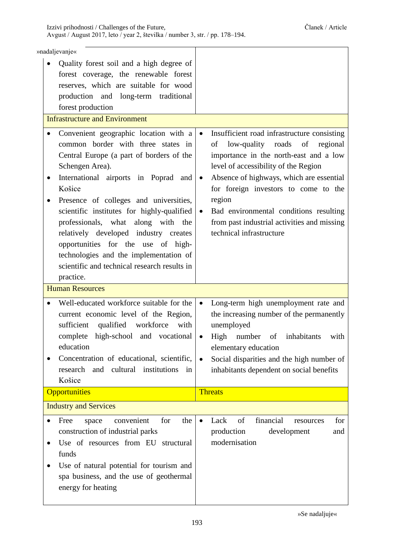|                                       | »nadaljevanje«                                                                                                                                                                                                                                                                                                   |                                                                                                                                                                                                                                                                                    |
|---------------------------------------|------------------------------------------------------------------------------------------------------------------------------------------------------------------------------------------------------------------------------------------------------------------------------------------------------------------|------------------------------------------------------------------------------------------------------------------------------------------------------------------------------------------------------------------------------------------------------------------------------------|
|                                       | Quality forest soil and a high degree of<br>forest coverage, the renewable forest<br>reserves, which are suitable for wood<br>production and long-term traditional<br>forest production                                                                                                                          |                                                                                                                                                                                                                                                                                    |
| <b>Infrastructure and Environment</b> |                                                                                                                                                                                                                                                                                                                  |                                                                                                                                                                                                                                                                                    |
|                                       | Convenient geographic location with a<br>common border with three states in<br>Central Europe (a part of borders of the<br>Schengen Area).                                                                                                                                                                       | Insufficient road infrastructure consisting<br>$\bullet$<br>low-quality roads of regional<br>of<br>importance in the north-east and a low<br>level of accessibility of the Region                                                                                                  |
| ٠                                     | International airports in Poprad and<br>Košice                                                                                                                                                                                                                                                                   | Absence of highways, which are essential<br>$\bullet$<br>for foreign investors to come to the                                                                                                                                                                                      |
| ٠                                     | Presence of colleges and universities,<br>scientific institutes for highly-qualified<br>professionals, what along with the<br>relatively developed industry creates<br>opportunities for the use of high-<br>technologies and the implementation of<br>scientific and technical research results in<br>practice. | region<br>Bad environmental conditions resulting<br>$\bullet$<br>from past industrial activities and missing<br>technical infrastructure                                                                                                                                           |
|                                       | <b>Human Resources</b>                                                                                                                                                                                                                                                                                           |                                                                                                                                                                                                                                                                                    |
| $\bullet$<br>٠                        | Well-educated workforce suitable for the<br>current economic level of the Region,<br>qualified workforce<br>sufficient<br>with<br>complete high-school and vocational<br>education<br>Concentration of educational, scientific,<br>institutions<br>research<br>and<br>cultural<br>in<br>Košice                   | Long-term high unemployment rate and<br>$\bullet$<br>the increasing number of the permanently<br>unemployed<br>High number<br>of inhabitants<br>with<br>elementary education<br>Social disparities and the high number of<br>$\bullet$<br>inhabitants dependent on social benefits |
|                                       | <b>Opportunities</b>                                                                                                                                                                                                                                                                                             | <b>Threats</b>                                                                                                                                                                                                                                                                     |
|                                       | <b>Industry and Services</b>                                                                                                                                                                                                                                                                                     |                                                                                                                                                                                                                                                                                    |
| $\bullet$<br>٠                        | Free<br>the<br>convenient<br>for<br>space<br>construction of industrial parks<br>Use of resources from EU structural<br>funds<br>Use of natural potential for tourism and<br>spa business, and the use of geothermal                                                                                             | financial<br>Lack<br>of<br>for<br>resources<br>$\bullet$<br>production<br>development<br>and<br>modernisation                                                                                                                                                                      |

»Se nadaljuje«